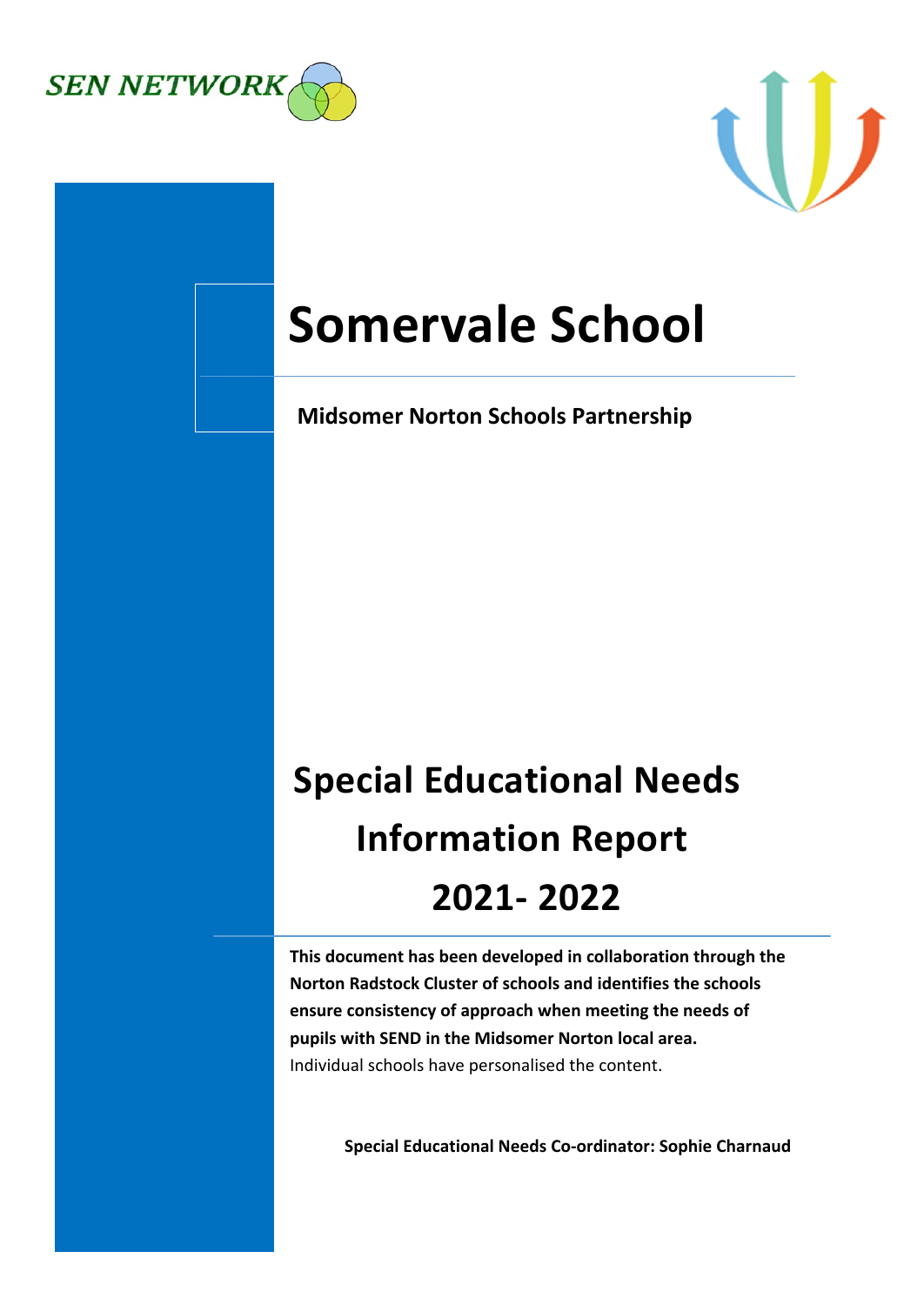



# **Somervale School**

**Midsomer Norton Schools Partnership** 

# **Special Educational Needs Information Report 2021- 2022**

**This document has been developed in collaboration through the Norton Radstock Cluster of schools and identifies the schools ensure consistency of approach when meeting the needs of pupils with SEND in the Midsomer Norton local area.** Individual schools have personalised the content.

**Special Educational Needs Co-ordinator: Sophie Charnaud**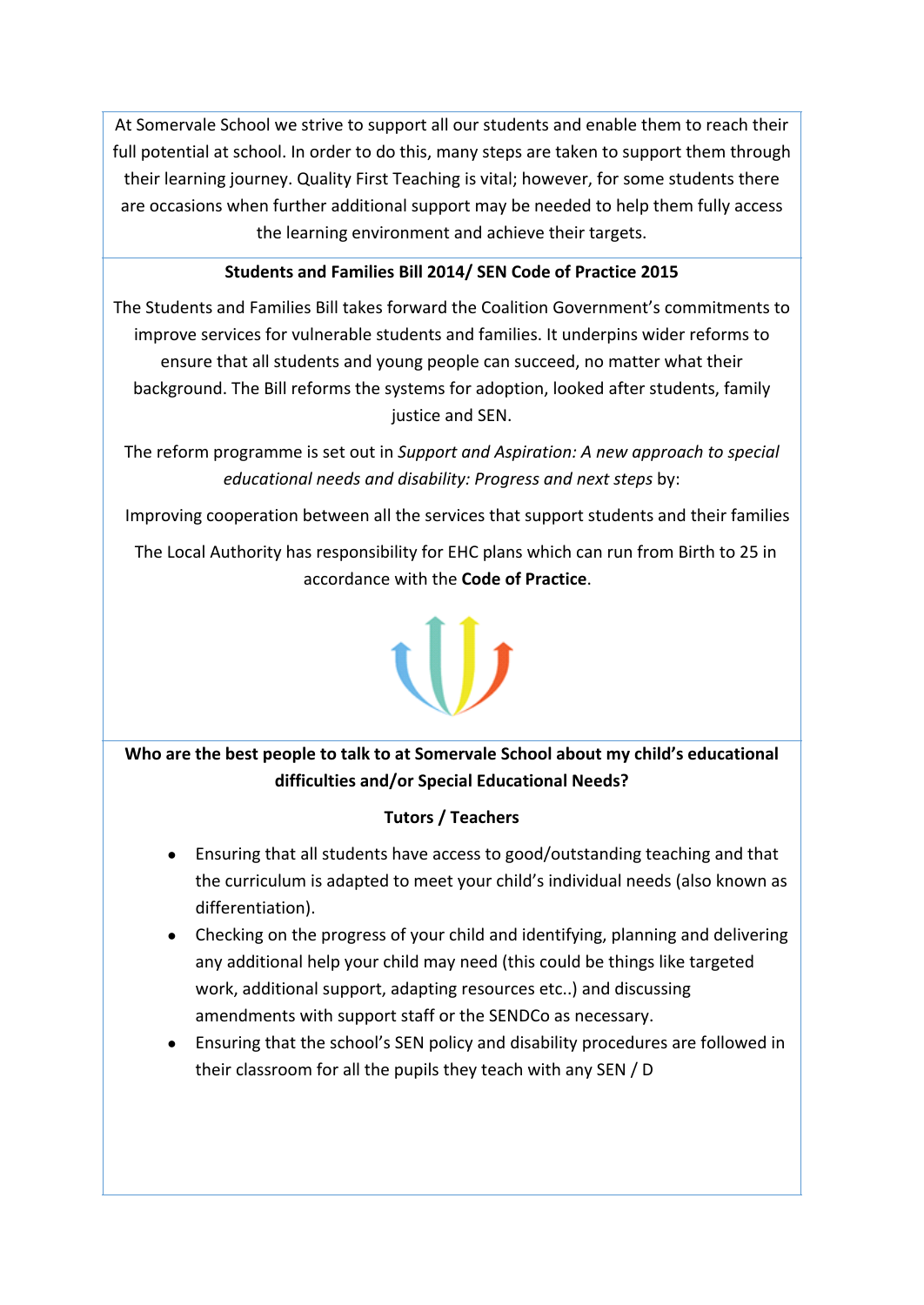At Somervale School we strive to support all our students and enable them to reach their full potential at school. In order to do this, many steps are taken to support them through their learning journey. Quality First Teaching is vital; however, for some students there are occasions when further additional support may be needed to help them fully access the learning environment and achieve their targets.

# **Students and Families Bill 2014/ SEN Code of Practice 2015**

The Students and Families Bill takes forward the Coalition Government's commitments to improve services for vulnerable students and families. It underpins wider reforms to ensure that all students and young people can succeed, no matter what their background. The Bill reforms the systems for adoption, looked after students, family justice and SEN.

The reform programme is set out in *Support and Aspiration: A new approach to special educational needs and disability: Progress and next steps* by:

Improving cooperation between all the services that support students and their families

The Local Authority has responsibility for EHC plans which can run from Birth to 25 in accordance with the **Code of Practice**.

# **Who are the best people to talk to at Somervale School about my child's educational difficulties and/or Special Educational Needs?**

# **Tutors / Teachers**

- Ensuring that all students have access to good/outstanding teaching and that the curriculum is adapted to meet your child's individual needs (also known as differentiation).
- Checking on the progress of your child and identifying, planning and delivering any additional help your child may need (this could be things like targeted work, additional support, adapting resources etc..) and discussing amendments with support staff or the SENDCo as necessary.
- Ensuring that the school's SEN policy and disability procedures are followed in their classroom for all the pupils they teach with any SEN / D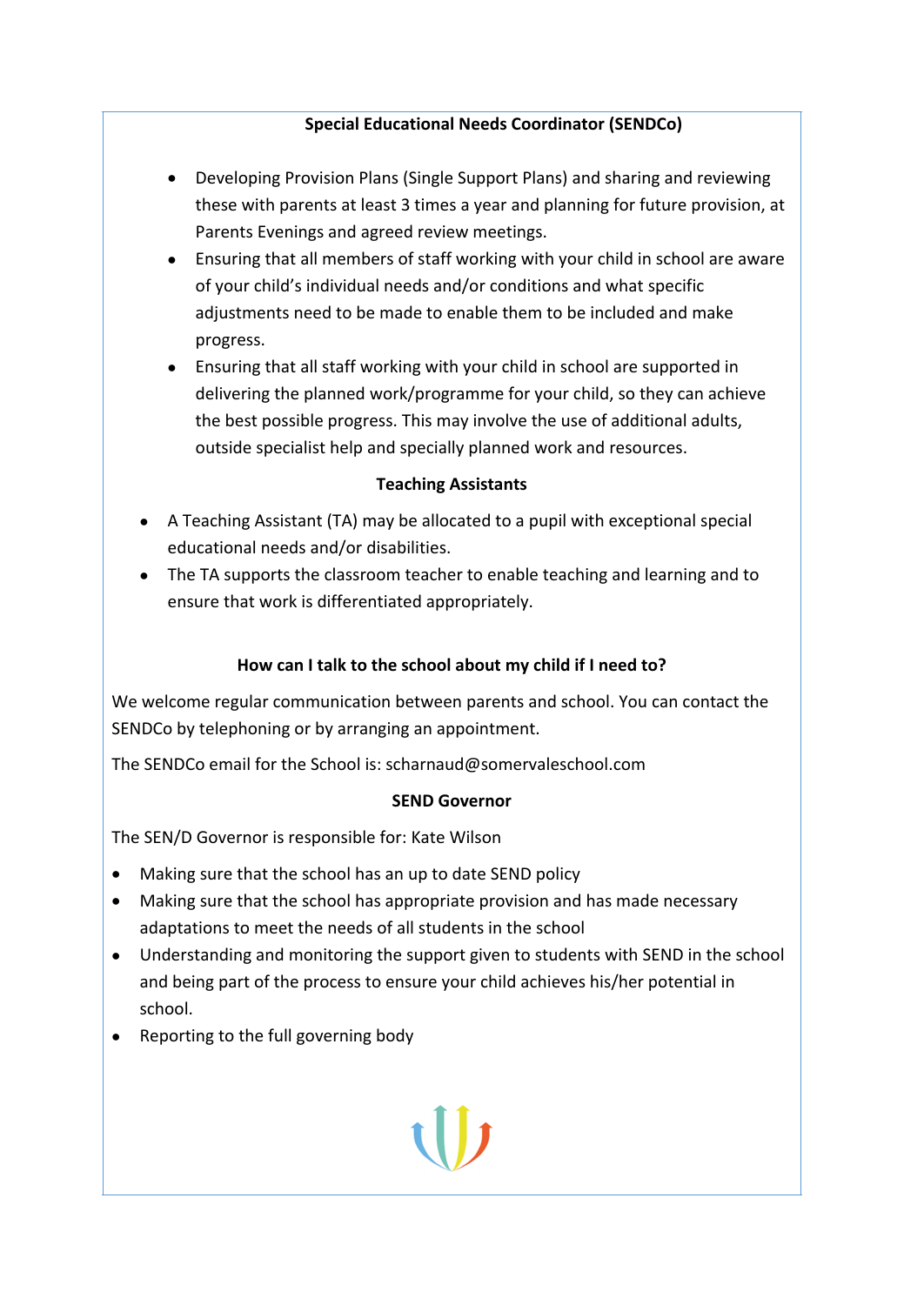# **Special Educational Needs Coordinator (SENDCo)**

- Developing Provision Plans (Single Support Plans) and sharing and reviewing these with parents at least 3 times a year and planning for future provision, at Parents Evenings and agreed review meetings.
- Ensuring that all members of staff working with your child in school are aware of your child's individual needs and/or conditions and what specific adjustments need to be made to enable them to be included and make progress.

 Ensuring that all staff working with your child in school are supported in delivering the planned work/programme for your child, so they can achieve the best possible progress. This may involve the use of additional adults, outside specialist help and specially planned work and resources.

## **Teaching Assistants**

- A Teaching Assistant (TA) may be allocated to a pupil with exceptional special educational needs and/or disabilities.
- The TA supports the classroom teacher to enable teaching and learning and to ensure that work is differentiated appropriately.

# **How can I talk to the school about my child if I need to?**

We welcome regular communication between parents and school. You can contact the SENDCo by telephoning or by arranging an appointment.

The SENDCo email for the School is: scharnaud@somervaleschool.com

## **SEND Governor**

The SEN/D Governor is responsible for: Kate Wilson

- Making sure that the school has an up to date SEND policy
- Making sure that the school has appropriate provision and has made necessary adaptations to meet the needs of all students in the school
- Understanding and monitoring the support given to students with SEND in the school and being part of the process to ensure your child achieves his/her potential in school.
- Reporting to the full governing body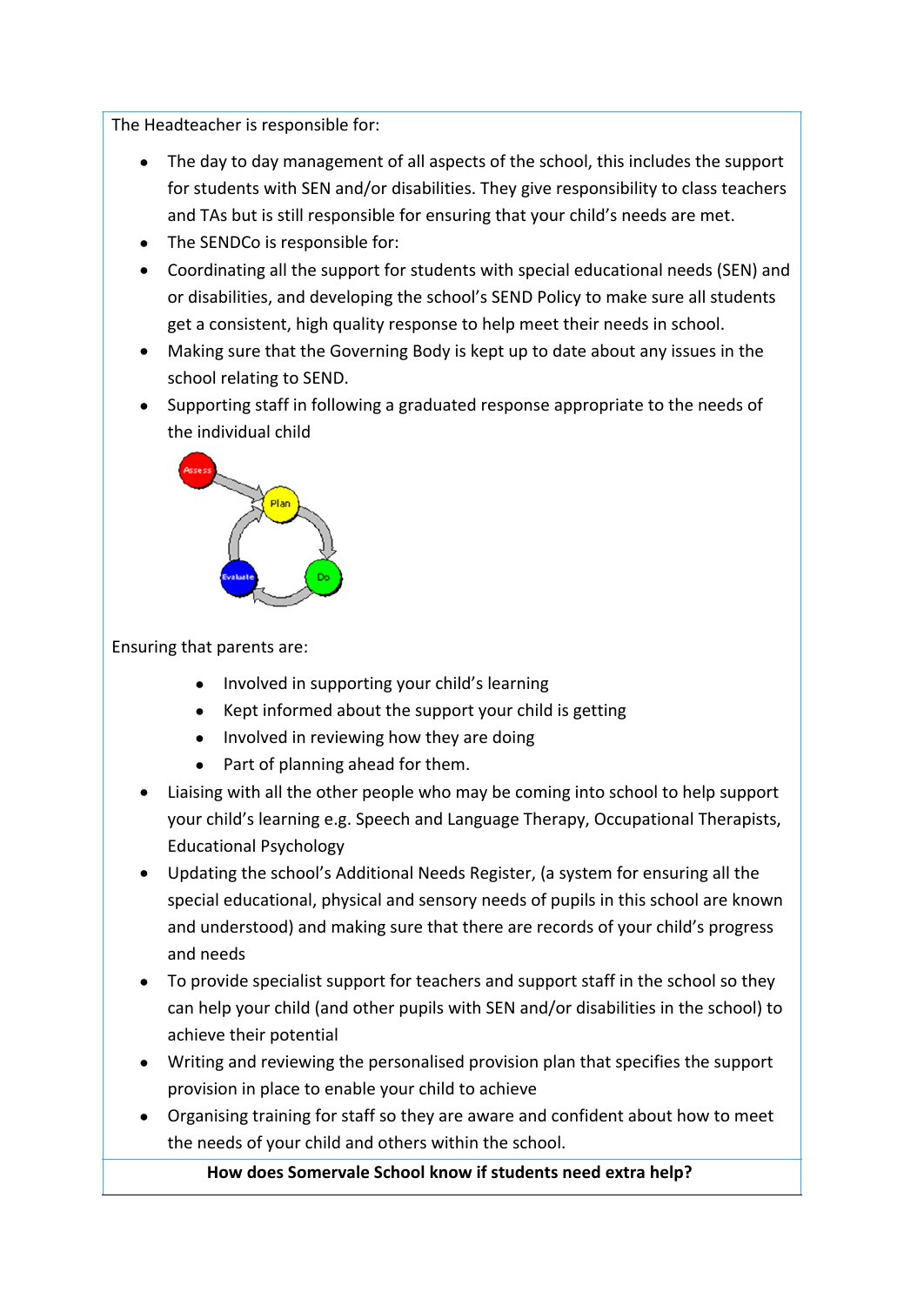The Headteacher is responsible for:

- The day to day management of all aspects of the school, this includes the support for students with SEN and/or disabilities. They give responsibility to class teachers and TAs but is still responsible for ensuring that your child's needs are met.
- The SENDCo is responsible for:
- Coordinating all the support for students with special educational needs (SEN) and or disabilities, and developing the school's SEND Policy to make sure all students get a consistent, high quality response to help meet their needs in school.
- Making sure that the Governing Body is kept up to date about any issues in the school relating to SEND.
- Supporting staff in following a graduated response appropriate to the needs of the individual child



# Ensuring that parents are:

- Involved in supporting your child's learning
- Kept informed about the support your child is getting
- Involved in reviewing how they are doing
- Part of planning ahead for them.
- Liaising with all the other people who may be coming into school to help support your child's learning e.g. Speech and Language Therapy, Occupational Therapists, Educational Psychology
- Updating the school's Additional Needs Register, (a system for ensuring all the special educational, physical and sensory needs of pupils in this school are known and understood) and making sure that there are records of your child's progress and needs
- To provide specialist support for teachers and support staff in the school so they can help your child (and other pupils with SEN and/or disabilities in the school) to achieve their potential
- Writing and reviewing the personalised provision plan that specifies the support provision in place to enable your child to achieve
- Organising training for staff so they are aware and confident about how to meet the needs of your child and others within the school.

**How does Somervale School know if students need extra help?**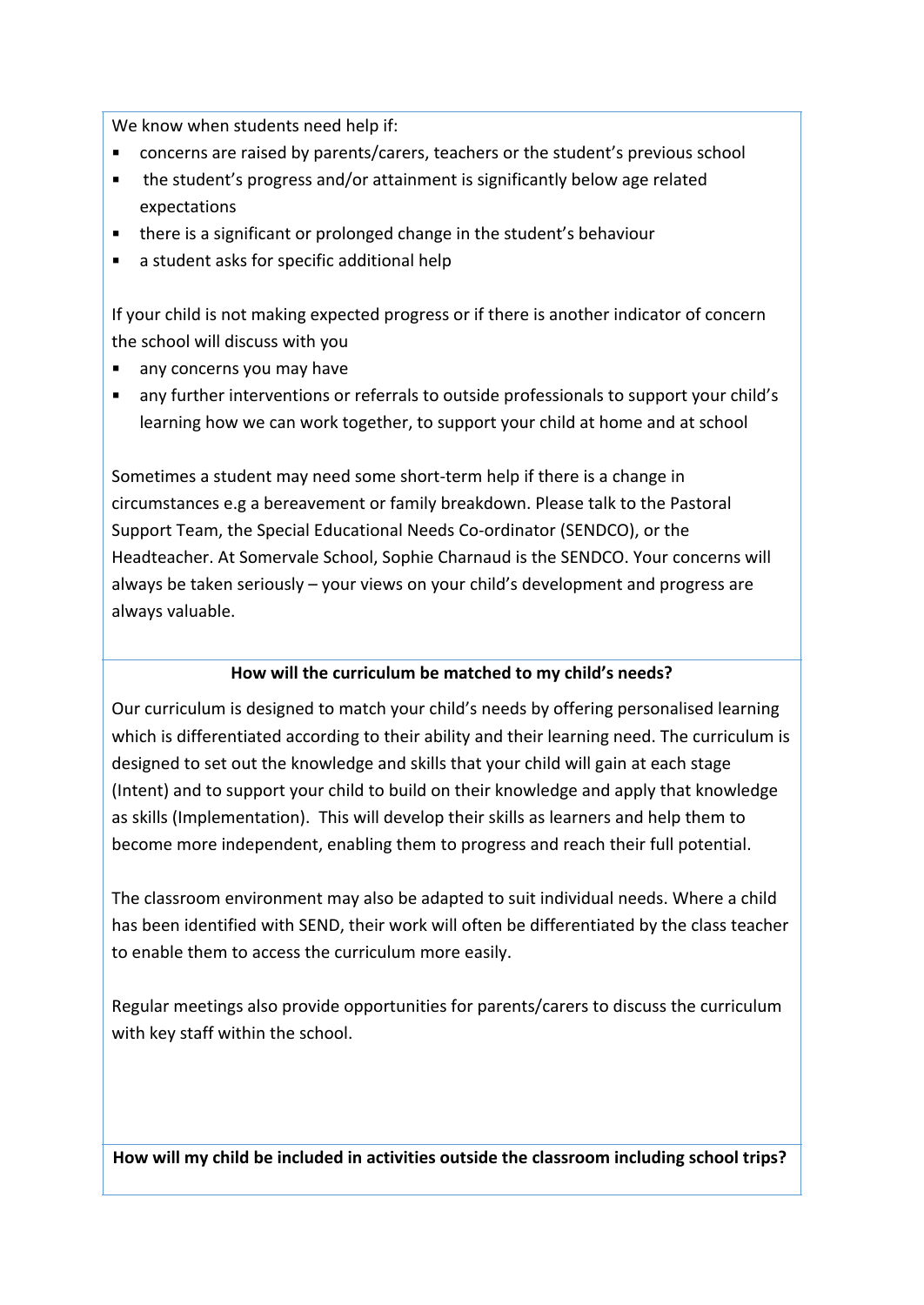We know when students need help if:

- concerns are raised by parents/carers, teachers or the student's previous school
- the student's progress and/or attainment is significantly below age related expectations
- there is a significant or prolonged change in the student's behaviour
- a student asks for specific additional help

If your child is not making expected progress or if there is another indicator of concern the school will discuss with you

- any concerns you may have
- any further interventions or referrals to outside professionals to support your child's learning how we can work together, to support your child at home and at school

Sometimes a student may need some short-term help if there is a change in circumstances e.g a bereavement or family breakdown. Please talk to the Pastoral Support Team, the Special Educational Needs Co-ordinator (SENDCO), or the Headteacher. At Somervale School, Sophie Charnaud is the SENDCO. Your concerns will always be taken seriously – your views on your child's development and progress are always valuable.

## **How will the curriculum be matched to my child's needs?**

Our curriculum is designed to match your child's needs by offering personalised learning which is differentiated according to their ability and their learning need. The curriculum is designed to set out the knowledge and skills that your child will gain at each stage (Intent) and to support your child to build on their knowledge and apply that knowledge as skills (Implementation). This will develop their skills as learners and help them to become more independent, enabling them to progress and reach their full potential.

The classroom environment may also be adapted to suit individual needs. Where a child has been identified with SEND, their work will often be differentiated by the class teacher to enable them to access the curriculum more easily.

Regular meetings also provide opportunities for parents/carers to discuss the curriculum with key staff within the school.

**How will my child be included in activities outside the classroom including school trips?**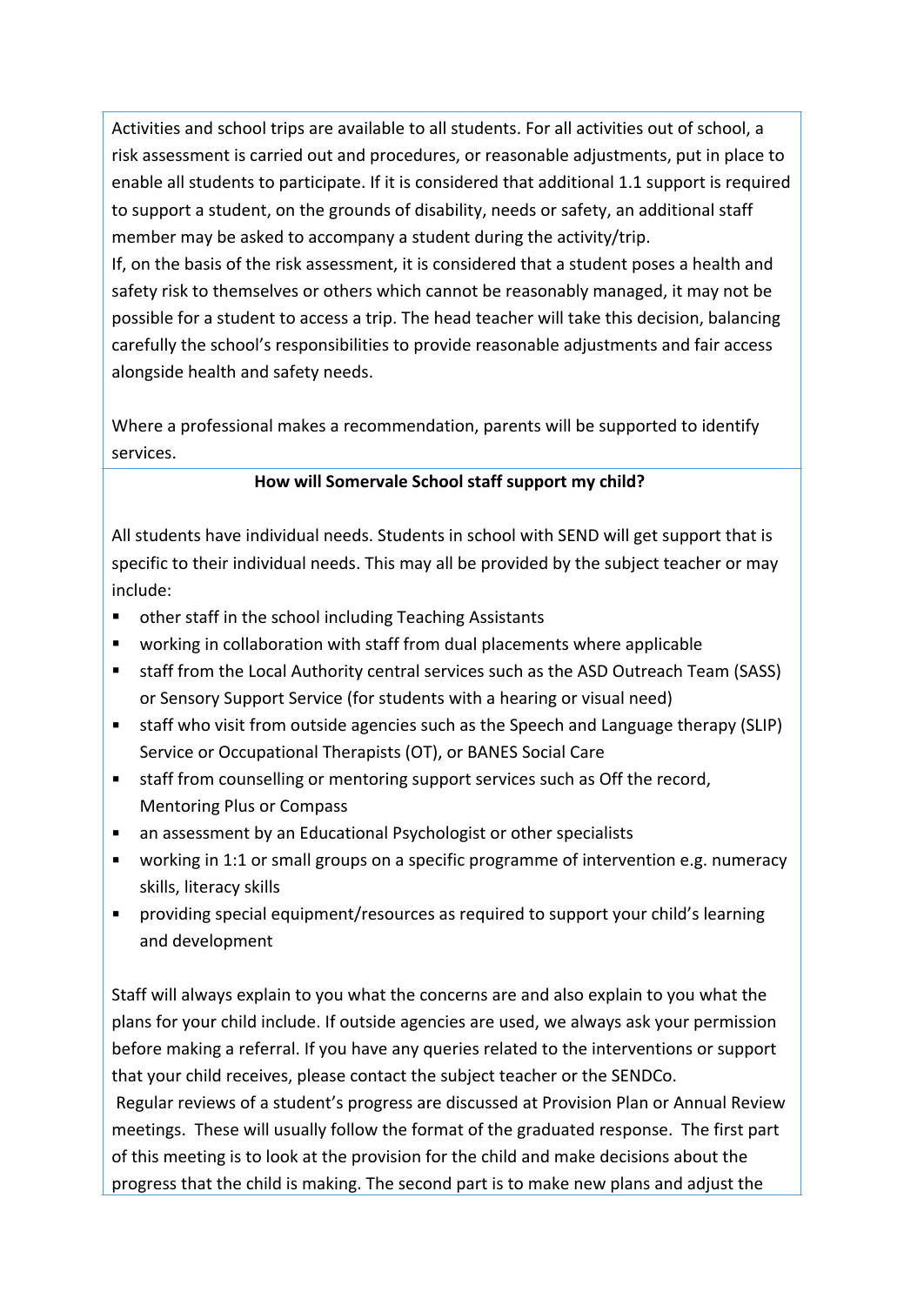Activities and school trips are available to all students. For all activities out of school, a risk assessment is carried out and procedures, or reasonable adjustments, put in place to enable all students to participate. If it is considered that additional 1.1 support is required to support a student, on the grounds of disability, needs or safety, an additional staff member may be asked to accompany a student during the activity/trip.

If, on the basis of the risk assessment, it is considered that a student poses a health and safety risk to themselves or others which cannot be reasonably managed, it may not be possible for a student to access a trip. The head teacher will take this decision, balancing carefully the school's responsibilities to provide reasonable adjustments and fair access alongside health and safety needs.

Where a professional makes a recommendation, parents will be supported to identify services.

## **How will Somervale School staff support my child?**

All students have individual needs. Students in school with SEND will get support that is specific to their individual needs. This may all be provided by the subject teacher or may include:

- other staff in the school including Teaching Assistants
- working in collaboration with staff from dual placements where applicable
- **staff from the Local Authority central services such as the ASD Outreach Team (SASS)** or Sensory Support Service (for students with a hearing or visual need)
- staff who visit from outside agencies such as the Speech and Language therapy (SLIP) Service or Occupational Therapists (OT), or BANES Social Care
- staff from counselling or mentoring support services such as Off the record, Mentoring Plus or Compass
- an assessment by an Educational Psychologist or other specialists
- working in 1:1 or small groups on a specific programme of intervention e.g. numeracy skills, literacy skills
- providing special equipment/resources as required to support your child's learning and development

Staff will always explain to you what the concerns are and also explain to you what the plans for your child include. If outside agencies are used, we always ask your permission before making a referral. If you have any queries related to the interventions or support that your child receives, please contact the subject teacher or the SENDCo.

 Regular reviews of a student's progress are discussed at Provision Plan or Annual Review meetings. These will usually follow the format of the graduated response. The first part of this meeting is to look at the provision for the child and make decisions about the progress that the child is making. The second part is to make new plans and adjust the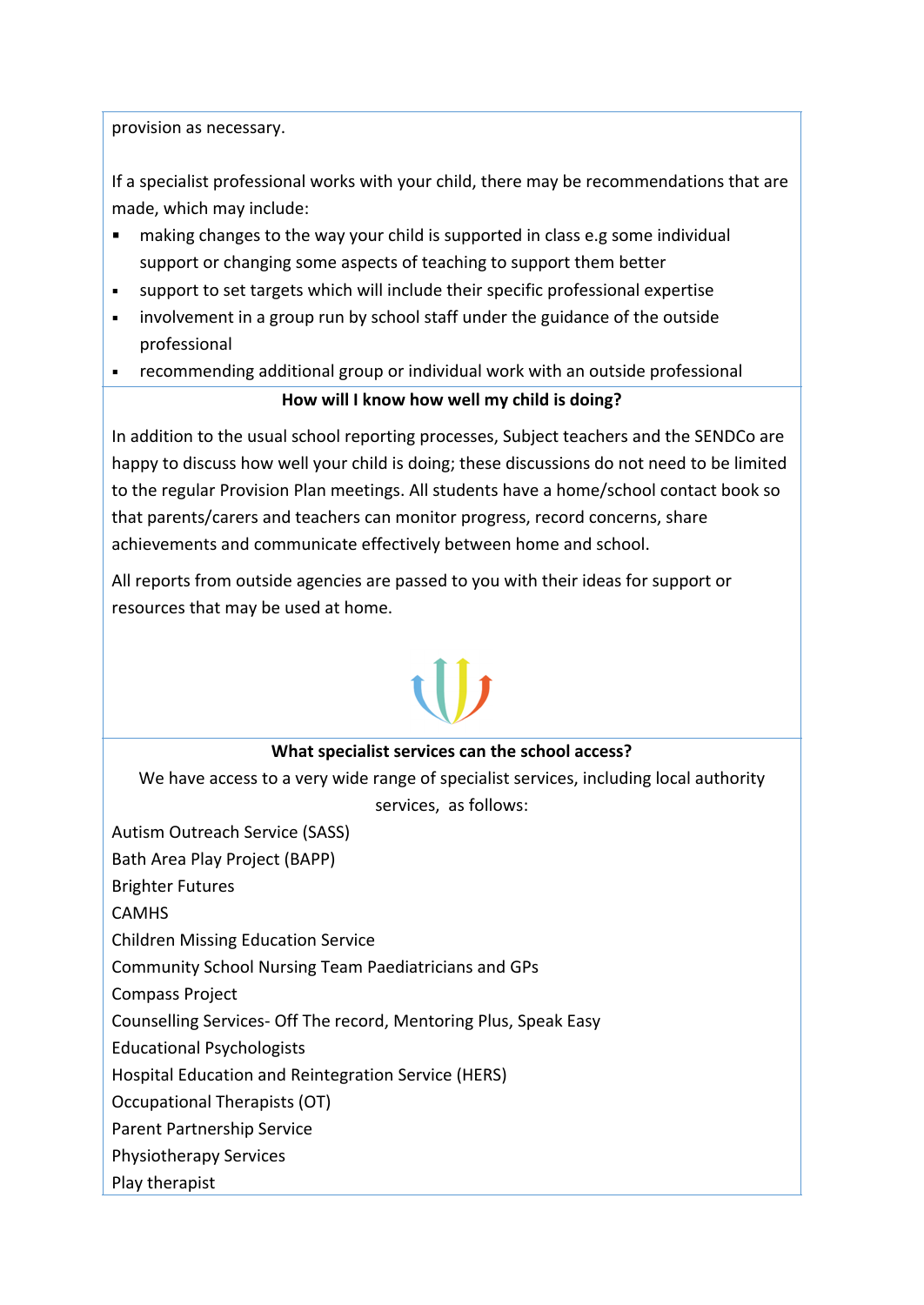provision as necessary.

If a specialist professional works with your child, there may be recommendations that are made, which may include:

- making changes to the way your child is supported in class e.g some individual support or changing some aspects of teaching to support them better
- support to set targets which will include their specific professional expertise
- involvement in a group run by school staff under the guidance of the outside professional
- recommending additional group or individual work with an outside professional

# **How will I know how well my child is doing?**

In addition to the usual school reporting processes, Subject teachers and the SENDCo are happy to discuss how well your child is doing; these discussions do not need to be limited to the regular Provision Plan meetings. All students have a home/school contact book so that parents/carers and teachers can monitor progress, record concerns, share achievements and communicate effectively between home and school.

All reports from outside agencies are passed to you with their ideas for support or resources that may be used at home.

## **What specialist services can the school access?**

We have access to a very wide range of specialist services, including local authority services, as follows:

Autism Outreach Service (SASS)

Bath Area Play Project (BAPP)

Brighter Futures

**CAMHS** 

Children Missing Education Service

Community School Nursing Team Paediatricians and GPs

Compass Project

Counselling Services- Off The record, Mentoring Plus, Speak Easy

Educational Psychologists

Hospital Education and Reintegration Service (HERS)

Occupational Therapists (OT)

Parent Partnership Service

Physiotherapy Services

Play therapist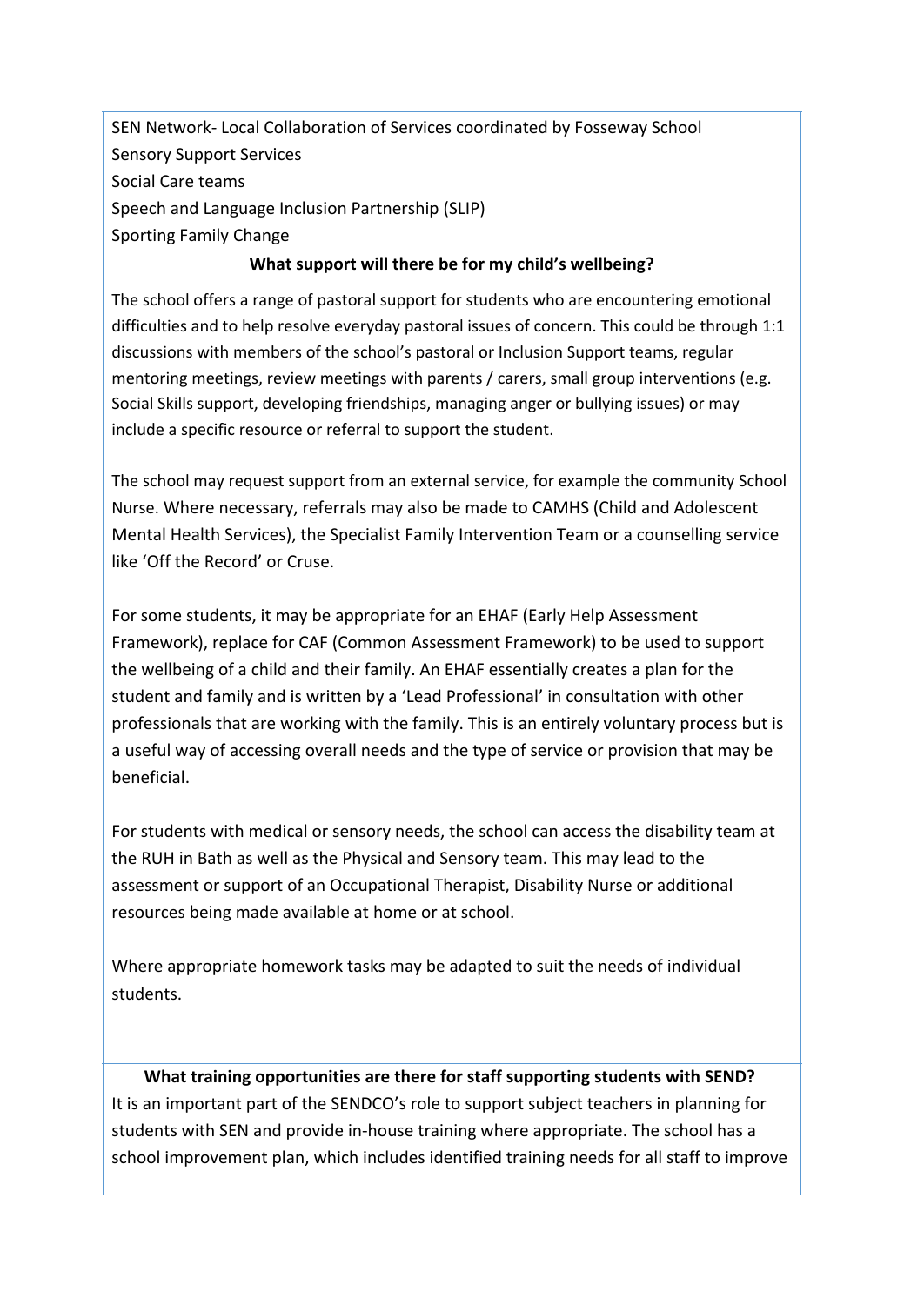SEN Network- Local Collaboration of Services coordinated by Fosseway School Sensory Support Services Social Care teams Speech and Language Inclusion Partnership (SLIP) Sporting Family Change

### **What support will there be for my child's wellbeing?**

The school offers a range of pastoral support for students who are encountering emotional difficulties and to help resolve everyday pastoral issues of concern. This could be through 1:1 discussions with members of the school's pastoral or Inclusion Support teams, regular mentoring meetings, review meetings with parents / carers, small group interventions (e.g. Social Skills support, developing friendships, managing anger or bullying issues) or may include a specific resource or referral to support the student.

The school may request support from an external service, for example the community School Nurse. Where necessary, referrals may also be made to CAMHS (Child and Adolescent Mental Health Services), the Specialist Family Intervention Team or a counselling service like 'Off the Record' or Cruse.

For some students, it may be appropriate for an EHAF (Early Help Assessment Framework), replace for CAF (Common Assessment Framework) to be used to support the wellbeing of a child and their family. An EHAF essentially creates a plan for the student and family and is written by a 'Lead Professional' in consultation with other professionals that are working with the family. This is an entirely voluntary process but is a useful way of accessing overall needs and the type of service or provision that may be beneficial.

For students with medical or sensory needs, the school can access the disability team at the RUH in Bath as well as the Physical and Sensory team. This may lead to the assessment or support of an Occupational Therapist, Disability Nurse or additional resources being made available at home or at school.

Where appropriate homework tasks may be adapted to suit the needs of individual students.

**What training opportunities are there for staff supporting students with SEND?**  It is an important part of the SENDCO's role to support subject teachers in planning for students with SEN and provide in-house training where appropriate. The school has a school improvement plan, which includes identified training needs for all staff to improve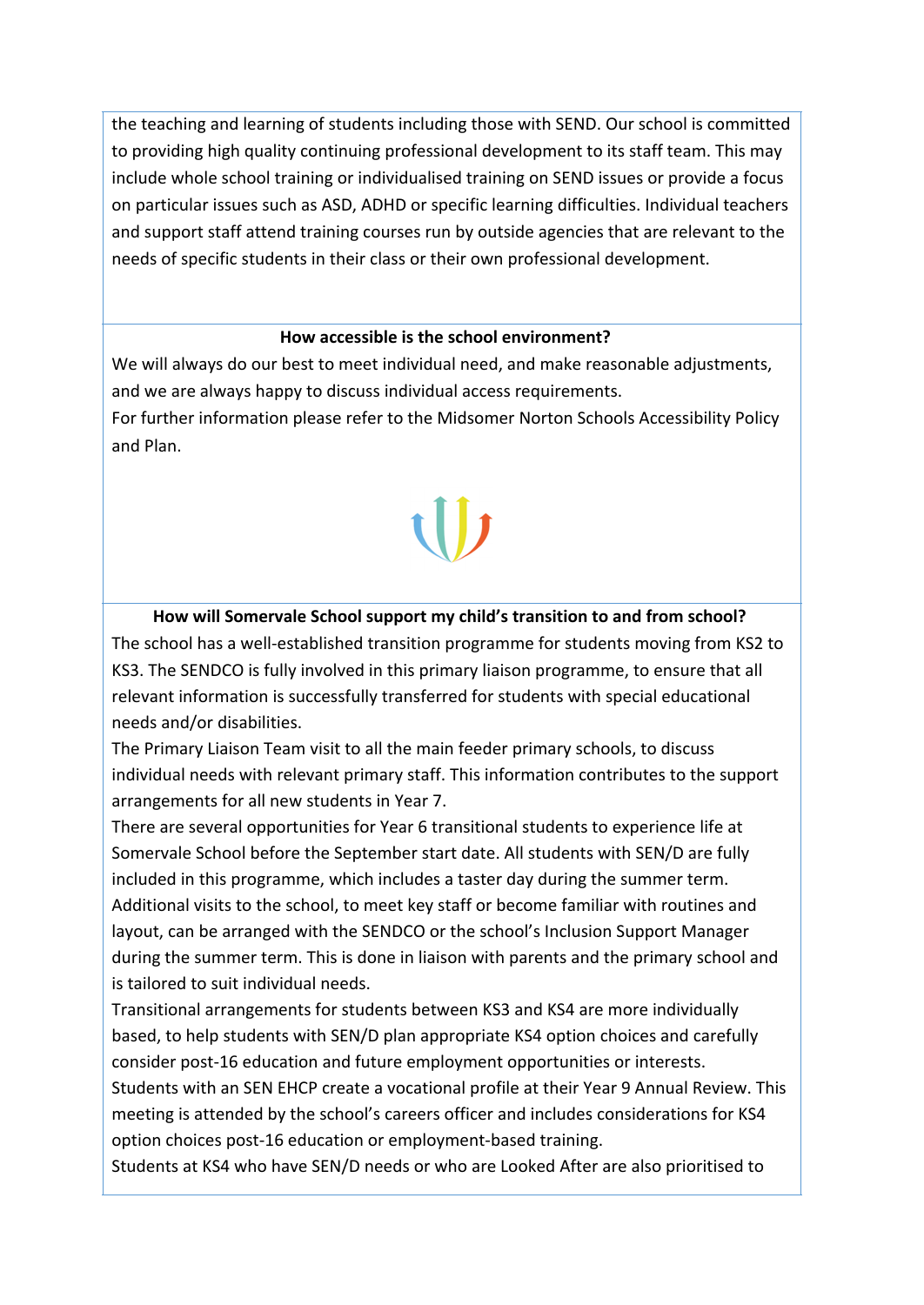the teaching and learning of students including those with SEND. Our school is committed to providing high quality continuing professional development to its staff team. This may include whole school training or individualised training on SEND issues or provide a focus on particular issues such as ASD, ADHD or specific learning difficulties. Individual teachers and support staff attend training courses run by outside agencies that are relevant to the needs of specific students in their class or their own professional development.

### **How accessible is the school environment?**

We will always do our best to meet individual need, and make reasonable adjustments, and we are always happy to discuss individual access requirements.

For further information please refer to the Midsomer Norton Schools Accessibility Policy and Plan.

### **How will Somervale School support my child's transition to and from school?**

The school has a well-established transition programme for students moving from KS2 to KS3. The SENDCO is fully involved in this primary liaison programme, to ensure that all relevant information is successfully transferred for students with special educational needs and/or disabilities.

The Primary Liaison Team visit to all the main feeder primary schools, to discuss individual needs with relevant primary staff. This information contributes to the support arrangements for all new students in Year 7.

There are several opportunities for Year 6 transitional students to experience life at Somervale School before the September start date. All students with SEN/D are fully included in this programme, which includes a taster day during the summer term. Additional visits to the school, to meet key staff or become familiar with routines and layout, can be arranged with the SENDCO or the school's Inclusion Support Manager during the summer term. This is done in liaison with parents and the primary school and is tailored to suit individual needs.

Transitional arrangements for students between KS3 and KS4 are more individually based, to help students with SEN/D plan appropriate KS4 option choices and carefully consider post-16 education and future employment opportunities or interests.

Students with an SEN EHCP create a vocational profile at their Year 9 Annual Review. This meeting is attended by the school's careers officer and includes considerations for KS4 option choices post-16 education or employment-based training.

Students at KS4 who have SEN/D needs or who are Looked After are also prioritised to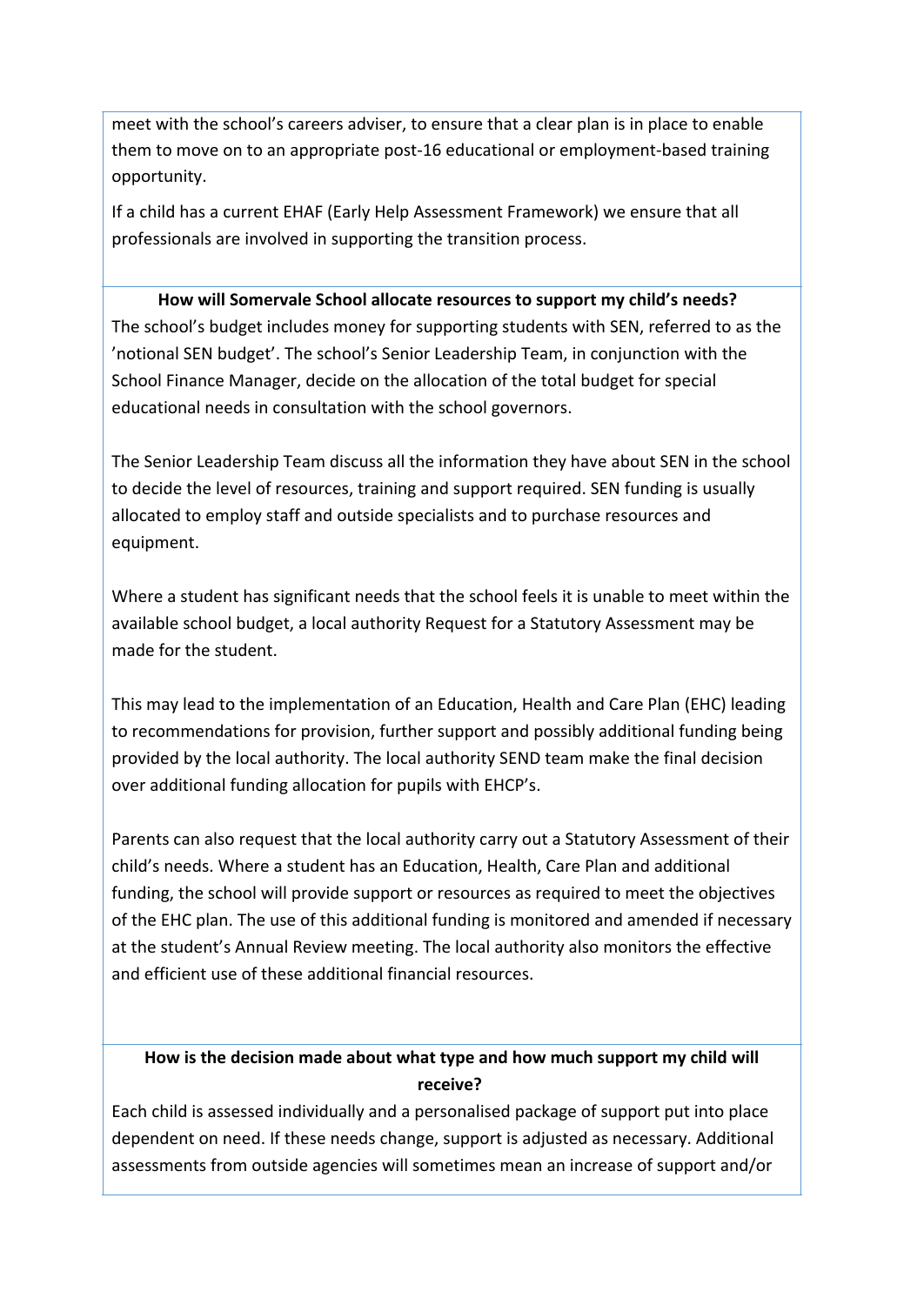meet with the school's careers adviser, to ensure that a clear plan is in place to enable them to move on to an appropriate post-16 educational or employment-based training opportunity.

If a child has a current EHAF (Early Help Assessment Framework) we ensure that all professionals are involved in supporting the transition process.

### **How will Somervale School allocate resources to support my child's needs?**

The school's budget includes money for supporting students with SEN, referred to as the 'notional SEN budget'. The school's Senior Leadership Team, in conjunction with the School Finance Manager, decide on the allocation of the total budget for special educational needs in consultation with the school governors.

The Senior Leadership Team discuss all the information they have about SEN in the school to decide the level of resources, training and support required. SEN funding is usually allocated to employ staff and outside specialists and to purchase resources and equipment.

Where a student has significant needs that the school feels it is unable to meet within the available school budget, a local authority Request for a Statutory Assessment may be made for the student.

This may lead to the implementation of an Education, Health and Care Plan (EHC) leading to recommendations for provision, further support and possibly additional funding being provided by the local authority. The local authority SEND team make the final decision over additional funding allocation for pupils with EHCP's.

Parents can also request that the local authority carry out a Statutory Assessment of their child's needs. Where a student has an Education, Health, Care Plan and additional funding, the school will provide support or resources as required to meet the objectives of the EHC plan. The use of this additional funding is monitored and amended if necessary at the student's Annual Review meeting. The local authority also monitors the effective and efficient use of these additional financial resources.

# **How is the decision made about what type and how much support my child will receive?**

Each child is assessed individually and a personalised package of support put into place dependent on need. If these needs change, support is adjusted as necessary. Additional assessments from outside agencies will sometimes mean an increase of support and/or